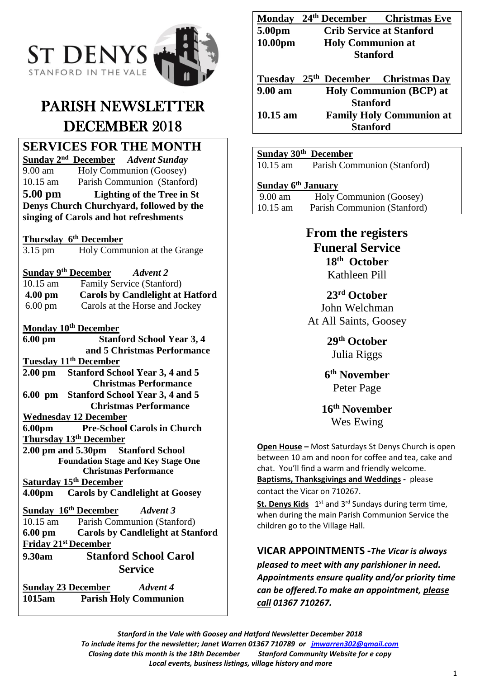

# PARISH NEWSLETTER DECEMBER 2018

# **SERVICES FOR THE MONTH**

**Sunday 2 nd December** *Advent Sunday* 9.00 am Holy Communion (Goosey) 10.15 am Parish Communion (Stanford) **5.00 pm Lighting of the Tree in St Denys Church Churchyard, followed by the singing of Carols and hot refreshments**

### **Thursday 6 th December**

3.15 pm Holy Communion at the Grange

**Sunday 9 th December** *Advent 2* 10.15 am Family Service (Stanford) **4.00 pm Carols by Candlelight at Hatford**

6.00 pm Carols at the Horse and Jockey

## **Monday 10 th December**

**6.00 pm Stanford School Year 3, 4 and 5 Christmas Performance Tuesday 11 th December 2.00 pm Stanford School Year 3, 4 and 5 Christmas Performance 6.00 pm Stanford School Year 3, 4 and 5 Christmas Performance Wednesday 12 December 6.00pm Pre-School Carols in Church Thursday 13 th December 2.00 pm and 5.30pm Stanford School Foundation Stage and Key Stage One Christmas Performance Saturday 15 th December 4.00pm Carols by Candlelight at Goosey Sunday 16 th December** *Advent 3*  10.15 am Parish Communion (Stanford) **6.00 pm Carols by Candlelight at Stanford Friday 21st December 9.30am Stanford School Carol Service**

**Sunday 23 December** *Advent 4* **1015am Parish Holy Communion**

|         |                                 |  | Monday 24th December Christmas Eve              |  |
|---------|---------------------------------|--|-------------------------------------------------|--|
| 5.00pm  | <b>Crib Service at Stanford</b> |  |                                                 |  |
| 10.00pm | <b>Holy Communion at</b>        |  |                                                 |  |
|         | <b>Stanford</b>                 |  |                                                 |  |
|         |                                 |  | Tuesday 25 <sup>th</sup> December Christmas Day |  |

| <b>9.00 am</b> | <b>Holy Communion (BCP) at</b>  |  |
|----------------|---------------------------------|--|
|                | <b>Stanford</b>                 |  |
| $10.15$ am     | <b>Family Holy Communion at</b> |  |
|                | <b>Stanford</b>                 |  |

### **Sunday 30 th December**

10.15 am Parish Communion (Stanford)

### **Sunday 6 th January**

| $9.00$ am  | Holy Communion (Goosey)     |
|------------|-----------------------------|
| $10.15$ am | Parish Communion (Stanford) |

# **From the registers Funeral Service 18th October** Kathleen Pill

**23rd October** John Welchman At All Saints, Goosey

> **29th October** Julia Riggs

**6 th November** Peter Page

**16th November** Wes Ewing

**Open House –** Most Saturdays St Denys Church is open between 10 am and noon for coffee and tea, cake and chat. You'll find a warm and friendly welcome.

**Baptisms, Thanksgivings and Weddings -** please contact the Vicar on 710267.

St. Denys Kids 1<sup>st</sup> and 3<sup>rd</sup> Sundays during term time, when during the main Parish Communion Service the children go to the Village Hall.

**VICAR APPOINTMENTS -***The Vicar is always pleased to meet with any parishioner in need. Appointments ensure quality and/or priority time can be offered.To make an appointment, please call 01367 710267.*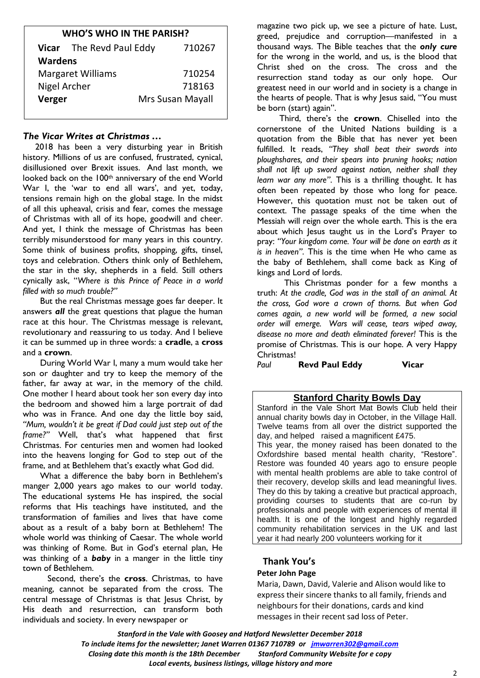| <b>WHO'S WHO IN THE PARISH?</b> |                                                                                       |  |  |  |  |
|---------------------------------|---------------------------------------------------------------------------------------|--|--|--|--|
|                                 | 710267                                                                                |  |  |  |  |
| <b>Wardens</b>                  |                                                                                       |  |  |  |  |
|                                 | 710254                                                                                |  |  |  |  |
|                                 | 718163                                                                                |  |  |  |  |
|                                 | Mrs Susan Mayall                                                                      |  |  |  |  |
|                                 | <b>Vicar</b> The Revd Paul Eddy<br><b>Margaret Williams</b><br>Nigel Archer<br>Verger |  |  |  |  |

### *The Vicar Writes at Christmas …*

 2018 has been a very disturbing year in British history. Millions of us are confused, frustrated, cynical, disillusioned over Brexit issues. And last month, we looked back on the  $100<sup>th</sup>$  anniversary of the end World War I, the 'war to end all wars', and yet, today, tensions remain high on the global stage. In the midst of all this upheaval, crisis and fear, comes the message of Christmas with all of its hope, goodwill and cheer. And yet, I think the message of Christmas has been terribly misunderstood for many years in this country. Some think of business profits, shopping, gifts, tinsel, toys and celebration. Others think only of Bethlehem, the star in the sky, shepherds in a field. Still others cynically ask, "*Where is this Prince of Peace in a world filled with so much trouble?"*

 But the real Christmas message goes far deeper. It answers *all* the great questions that plague the human race at this hour. The Christmas message is relevant, revolutionary and reassuring to us today. And I believe it can be summed up in three words: a **cradle**, a **cross** and a **crown**.

 During World War I, many a mum would take her son or daughter and try to keep the memory of the father, far away at war, in the memory of the child. One mother I heard about took her son every day into the bedroom and showed him a large portrait of dad who was in France. And one day the little boy said, *"Mum, wouldn't it be great if Dad could just step out of the frame?"* Well, that's what happened that first Christmas. For centuries men and women had looked into the heavens longing for God to step out of the frame, and at Bethlehem that's exactly what God did.

 What a difference the baby born in Bethlehem's manger 2,000 years ago makes to our world today. The educational systems He has inspired, the social reforms that His teachings have instituted, and the transformation of families and lives that have come about as a result of a baby born at Bethlehem! The whole world was thinking of Caesar. The whole world was thinking of Rome. But in God's eternal plan, He was thinking of a *baby* in a manger in the little tiny town of Bethlehem.

 Second, there's the **cross**. Christmas, to have meaning, cannot be separated from the cross. The central message of Christmas is that Jesus Christ, by His death and resurrection, can transform both individuals and society. In every newspaper or

magazine two pick up, we see a picture of hate. Lust, greed, prejudice and corruption—manifested in a thousand ways. The Bible teaches that the *only cure* for the wrong in the world, and us, is the blood that Christ shed on the cross. The cross and the resurrection stand today as our only hope. Our greatest need in our world and in society is a change in the hearts of people. That is why Jesus said, "You must be born (start) again".

 Third, there's the **crown**. Chiselled into the cornerstone of the United Nations building is a quotation from the Bible that has never yet been fulfilled. It reads, *"They shall beat their swords into ploughshares, and their spears into pruning hooks; nation shall not lift up sword against nation, neither shall they learn war any more"*. This is a thrilling thought. It has often been repeated by those who long for peace. However, this quotation must not be taken out of context. The passage speaks of the time when the Messiah will reign over the whole earth. This is the era about which Jesus taught us in the Lord's Prayer to pray: *"Your kingdom come. Your will be done on earth as it is in heaven"*. This is the time when He who came as the baby of Bethlehem, shall come back as King of kings and Lord of lords.

 This Christmas ponder for a few months a truth: *At the cradle, God was in the stall of an animal. At the cross, God wore a crown of thorns. But when God comes again, a new world will be formed, a new social order will emerge. Wars will cease, tears wiped away, disease no more and death eliminated forever!* This is the promise of Christmas. This is our hope. A very Happy Christmas!

*Paul* **Revd Paul Eddy****Vicar**

## **Stanford Charity Bowls Day**

Stanford in the Vale Short Mat Bowls Club held their annual charity bowls day in October, in the Village Hall. Twelve teams from all over the district supported the day, and helped raised a magnificent £475. This year, the money raised has been donated to the Oxfordshire based mental health charity, "Restore". Restore was founded 40 years ago to ensure people with mental health problems are able to take control of their recovery, develop skills and lead meaningful lives. They do this by taking a creative but practical approach, providing courses to students that are co-run by professionals and people with experiences of mental ill health. It is one of the longest and highly regarded community rehabilitation services in the UK and last year it had nearly 200 volunteers working for it

## **Thank You's**

#### **Peter John Page**

Maria, Dawn, David, Valerie and Alison would like to express their sincere thanks to all family, friends and neighbours for their donations, cards and kind messages in their recent sad loss of Peter.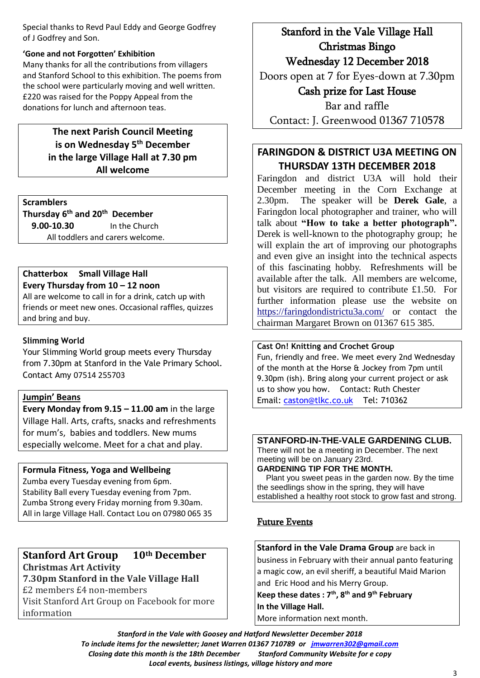Special thanks to Revd Paul Eddy and George Godfrey of J Godfrey and Son.

### **'Gone and not Forgotten' Exhibition**

Many thanks for all the contributions from villagers and Stanford School to this exhibition. The poems from the school were particularly moving and well written. £220 was raised for the Poppy Appeal from the donations for lunch and afternoon teas.

# **The next Parish Council Meeting is on Wednesday 5 th December in the large Village Hall at 7.30 pm All welcome**

**Scramblers**

**Thursday 6 th and 20th December 9.00-10.30** In the Church All toddlers and carers welcome.

### **Chatterbox Small Village Hall Every Thursday from 10 – 12 noon**

All are welcome to call in for a drink, catch up with friends or meet new ones. Occasional raffles, quizzes and bring and buy.

## **Slimming World**

Your Slimming World group meets every Thursday from 7.30pm at Stanford in the Vale Primary School. Contact Amy 07514 255703

## **Jumpin' Beans**

**Every Monday from 9.15 – 11.00 am** in the large Village Hall. Arts, crafts, snacks and refreshments for mum's, babies and toddlers. New mums especially welcome. Meet for a chat and play.

## **Formula Fitness, Yoga and Wellbeing**

Zumba every Tuesday evening from 6pm. Stability Ball every Tuesday evening from 7pm. Zumba Strong every Friday morning from 9.30am. All in large Village Hall. Contact Lou on 07980 065 35

# **Stanford Art Group 10th December Christmas Art Activity**

**7.30pm Stanford in the Vale Village Hall** £2 members £4 non-members Visit Stanford Art Group on Facebook for more information

# Stanford in the Vale Village Hall Christmas Bingo

Wednesday 12 December 2018

Doors open at 7 for Eyes-down at 7.30pm

# Cash prize for Last House

Bar and raffle

Contact: J. Greenwood 01367 710578

# **FARINGDON & DISTRICT U3A MEETING ON THURSDAY 13TH DECEMBER 2018**

Faringdon and district U3A will hold their December meeting in the Corn Exchange at 2.30pm. The speaker will be **Derek Gale**, a Faringdon local photographer and trainer, who will talk about **"How to take a better photograph".**  Derek is well-known to the photography group; he will explain the art of improving our photographs and even give an insight into the technical aspects of this fascinating hobby. Refreshments will be available after the talk. All members are welcome, but visitors are required to contribute £1.50. For further information please use the website on <https://faringdondistrictu3a.com/> or contact the chairman Margaret Brown on 01367 615 385.

### **Cast On! Knitting and Crochet Group**

Fun, friendly and free. We meet every 2nd Wednesday of the month at the Horse & Jockey from 7pm until 9.30pm (ish). Bring along your current project or ask us to show you how. Contact: Ruth Chester Email: [caston@tlkc.co.uk](mailto:caston@tlkc.co.uk) Tel: 710362

#### **STANFORD-IN-THE-VALE GARDENING CLUB.** There will not be a meeting in December. The next meeting will be on January 23rd.

**GARDENING TIP FOR THE MONTH.**

 Plant you sweet peas in the garden now. By the time the seedlings show in the spring, they will have established a healthy root stock to grow fast and strong.

# Future Events

# **Stanford in the Vale Drama Group** are back in business in February with their annual panto featuring a magic cow, an evil sheriff, a beautiful Maid Marion and Eric Hood and his Merry Group. **Keep these dates : 7th, 8th and 9th February In the Village Hall.** More information next month.